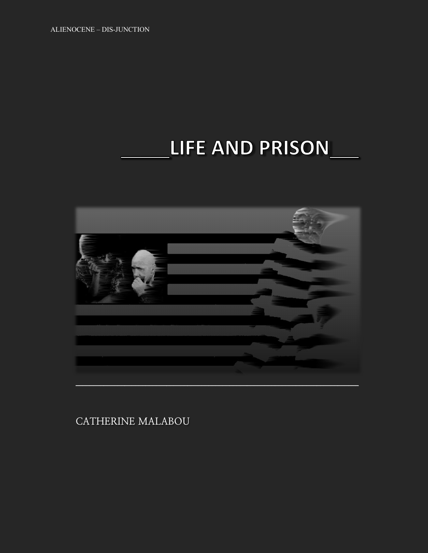ALIENOCENE – DIS-JUNCTION

## LIFE AND PRISON



**CATHERINE MALABOU**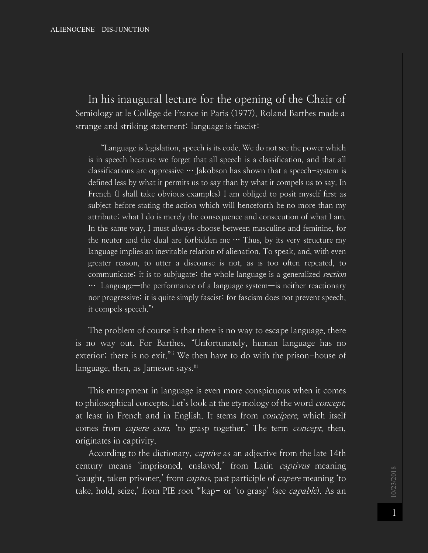ALIENOCENE – DIS-JUNCTION

In his inaugural lecture for the opening of the Chair of Semiology at le Collège de France in Paris (1977), Roland Barthes made a strange and striking statement: language is fascist:

"Language is legislation, speech is its code. We do not see the power which is in speech because we forget that all speech is a classification, and that all classifications are oppressive  $\cdots$  Jakobson has shown that a speech-system is defined less by what it permits us to say than by what it compels us to say. In French (I shall take obvious examples) I am obliged to posit myself first as subject before stating the action which will henceforth be no more than my attribute: what I do is merely the consequence and consecution of what I am. In the same way, I must always choose between masculine and feminine, for the neuter and the dual are forbidden me  $\cdots$  Thus, by its very structure my language implies an inevitable relation of alienation. To speak, and, with even greater reason, to utter a discourse is not, as is too often repeated, to communicate; it is to subjugate: the whole language is a generalized *rection* … Language—the performance of a language system—is neither reactionary nor progressive; it is quite simply fascist; for fascism does not prevent speech, it compels speech."i

The problem of course is that there is no way to escape language, there is no way out. For Barthes, "Unfortunately, human language has no exterior: there is no exit."ii We then have to do with the prison-house of language, then, as Jameson says. $\overline{u}$ 

This entrapment in language is even more conspicuous when it comes to philosophical concepts. Let's look at the etymology of the word concept, at least in French and in English. It stems from *concipere*, which itself comes from *capere cum*, 'to grasp together.' The term *concept*, then, originates in captivity.

According to the dictionary, *captive* as an adjective from the late 14th century means 'imprisoned, enslaved,' from Latin *captivus* meaning 'caught, taken prisoner,' from captus, past participle of capere meaning 'to take, hold, seize,' from PIE root \*kap- or 'to grasp' (see *capable*). As an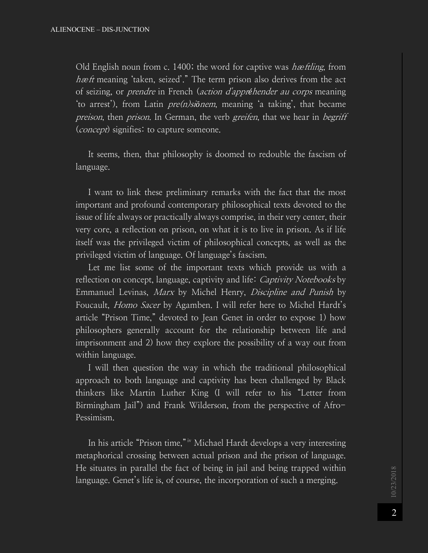Old English noun from c. 1400; the word for captive was *hæftling*, from hæft meaning 'taken, seized'." The term prison also derives from the act of seizing, or prendre in French (action d'appr*é*hender au corps meaning 'to arrest'), from Latin pre(n)si*ō*nem, meaning 'a taking', that became preison, then prison. In German, the verb greifen, that we hear in begriff (*concept*) signifies: to capture someone.

It seems, then, that philosophy is doomed to redouble the fascism of language.

I want to link these preliminary remarks with the fact that the most important and profound contemporary philosophical texts devoted to the issue of life always or practically always comprise, in their very center, their very core, a reflection on prison, on what it is to live in prison. As if life itself was the privileged victim of philosophical concepts, as well as the privileged victim of language. Of language's fascism.

Let me list some of the important texts which provide us with a reflection on concept, language, captivity and life: *Captivity Notebooks* by Emmanuel Levinas, Marx by Michel Henry, Discipline and Punish by Foucault, *Homo Sacer* by Agamben. I will refer here to Michel Hardt's article "Prison Time," devoted to Jean Genet in order to expose 1) how philosophers generally account for the relationship between life and imprisonment and 2) how they explore the possibility of a way out from within language.

I will then question the way in which the traditional philosophical approach to both language and captivity has been challenged by Black thinkers like Martin Luther King (I will refer to his "Letter from Birmingham Jail") and Frank Wilderson, from the perspective of Afro-Pessimism.

In his article "Prison time," iv Michael Hardt develops a very interesting metaphorical crossing between actual prison and the prison of language. He situates in parallel the fact of being in jail and being trapped within language. Genet's life is, of course, the incorporation of such a merging.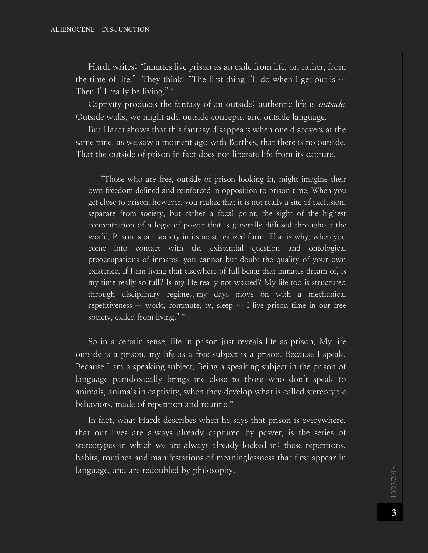Hardt writes: "Inmates live prison as an exile from life, or, rather, from the time of life." They think: "The first thing I'll do when I get out is  $\cdots$ Then I'll really be living."  $\frac{v}{x}$ 

Captivity produces the fantasy of an outside: authentic life is outside. Outside walls, we might add outside concepts, and outside language.

But Hardt shows that this fantasy disappears when one discovers at the same time, as we saw a moment ago with Barthes, that there is no outside. That the outside of prison in fact does not liberate life from its capture.

"Those who are free, outside of prison looking in, might imagine their own freedom defined and reinforced in opposition to prison time. When you get close to prison, however, you realize that it is not really a site of exclusion, separate from society, but rather a focal point, the sight of the highest concentration of a logic of power that is generally diffused throughout the world. Prison is our society in its most realized form. That is why, when you come into contact with the existential question and ontological preoccupations of inmates, you cannot but doubt the quality of your own existence. If I am living that elsewhere of full being that inmates dream of, is my time really so full? Is my life really not wasted? My life too is structured through disciplinary regimes, my days move on with a mechanical repetitiveness — work, commute, tv, sleep  $\cdots$  I live prison time in our free society, exiled from living." vi

So in a certain sense, life in prison just reveals life as prison. My life outside is a prison, my life as a free subject is a prison. Because I speak. Because I am a speaking subject. Being a speaking subject in the prison of language paradoxically brings me close to those who don't speak to animals, animals in captivity, when they develop what is called stereotypic behaviors, made of repetition and routine.<sup>vii</sup>

In fact, what Hardt describes when he says that prison is everywhere, that our lives are always already captured by power, is the series of stereotypes in which we are always already locked in: these repetitions, habits, routines and manifestations of meaninglessness that first appear in language, and are redoubled by philosophy.

10/23/2018 10/23/2018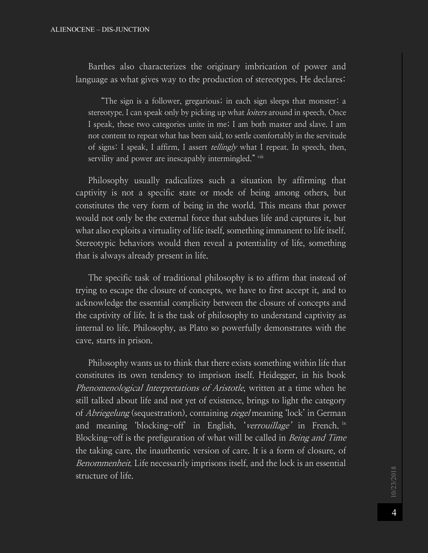Barthes also characterizes the originary imbrication of power and language as what gives way to the production of stereotypes. He declares:

"The sign is a follower, gregarious; in each sign sleeps that monster: a stereotype. I can speak only by picking up what *loiters* around in speech. Once I speak, these two categories unite in me; I am both master and slave. I am not content to repeat what has been said, to settle comfortably in the servitude of signs:  $\overline{I}$  speak, I affirm, I assert *tellingly* what I repeat. In speech, then, servility and power are inescapably intermingled." viii

Philosophy usually radicalizes such a situation by affirming that captivity is not a specific state or mode of being among others, but constitutes the very form of being in the world. This means that power would not only be the external force that subdues life and captures it, but what also exploits a virtuality of life itself, something immanent to life itself. Stereotypic behaviors would then reveal a potentiality of life, something that is always already present in life.

The specific task of traditional philosophy is to affirm that instead of trying to escape the closure of concepts, we have to first accept it, and to acknowledge the essential complicity between the closure of concepts and the captivity of life. It is the task of philosophy to understand captivity as internal to life. Philosophy, as Plato so powerfully demonstrates with the cave, starts in prison.

Philosophy wants us to think that there exists something within life that constitutes its own tendency to imprison itself. Heidegger, in his book Phenomenological Interpretations of Aristotle, written at a time when he still talked about life and not yet of existence, brings to light the category of Abriegelung (sequestration), containing riegel meaning 'lock' in German and meaning 'blocking-off' in English, 'verrouillage' in French. ix Blocking-off is the prefiguration of what will be called in *Being and Time* the taking care, the inauthentic version of care. It is a form of closure, of Benommenheit. Life necessarily imprisons itself, and the lock is an essential structure of life.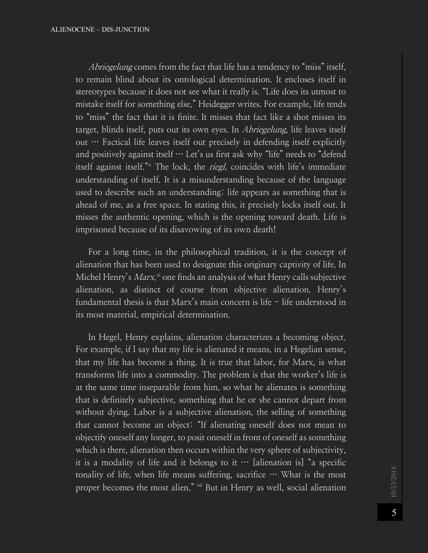Abriegelung comes from the fact that life has a tendency to "miss" itself, to remain blind about its ontological determination. It encloses itself in stereotypes because it does not see what it really is. "Life does its utmost to mistake itself for something else," Heidegger writes. For example, life tends to "miss" the fact that it is finite. It misses that fact like a shot misses its target, blinds itself, puts out its own eyes. In *Abriegelung*, life leaves itself out … Factical life leaves itself out precisely in defending itself explicitly and positively against itself  $\cdots$  Let's us first ask why "life" needs to "defend itself against itself."<sup>x</sup> The lock, the *riegl*, coincides with life's immediate understanding of itself. It is a misunderstanding because of the language used to describe such an understanding: life appears as something that is ahead of me, as a free space. In stating this, it precisely locks itself out. It misses the authentic opening, which is the opening toward death. Life is imprisoned because of its disavowing of its own death!

For a long time, in the philosophical tradition, it is the concept of alienation that has been used to designate this originary captivity of life. In Michel Henry's *Marx*,<sup>xi</sup> one finds an analysis of what Henry calls subjective alienation, as distinct of course from objective alienation. Henry's fundamental thesis is that Marx's main concern is life  $-$  life understood in its most material, empirical determination.

In Hegel, Henry explains, alienation characterizes a becoming object. For example, if I say that my life is alienated it means, in a Hegelian sense, that my life has become a thing. It is true that labor, for Marx, is what transforms life into a commodity. The problem is that the worker's life is at the same time inseparable from him, so what he alienates is something that is definitely subjective, something that he or she cannot depart from without dying. Labor is a subjective alienation, the selling of something that cannot become an object: "If alienating oneself does not mean to objectify oneself any longer, to posit oneself in front of oneself as something which is there, alienation then occurs within the very sphere of subjectivity, it is a modality of life and it belongs to it  $\cdots$  [alienation is] "a specific tonality of life, when life means suffering, sacrifice … What is the most proper becomes the most alien." xii But in Henry as well, social alienation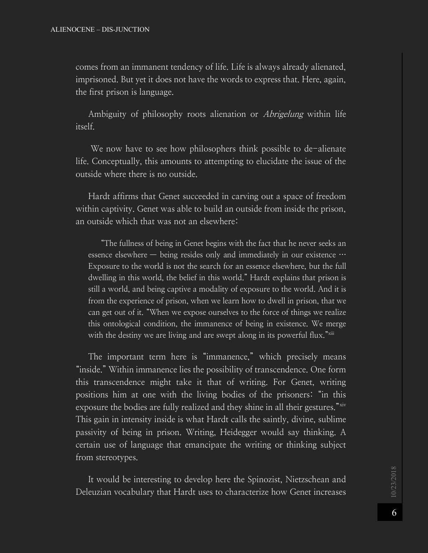comes from an immanent tendency of life. Life is always already alienated, imprisoned. But yet it does not have the words to express that. Here, again, the first prison is language.

Ambiguity of philosophy roots alienation or *Abrigelung* within life itself.

We now have to see how philosophers think possible to de-alienate life. Conceptually, this amounts to attempting to elucidate the issue of the outside where there is no outside.

Hardt affirms that Genet succeeded in carving out a space of freedom within captivity. Genet was able to build an outside from inside the prison, an outside which that was not an elsewhere:

"The fullness of being in Genet begins with the fact that he never seeks an essence elsewhere — being resides only and immediately in our existence … Exposure to the world is not the search for an essence elsewhere, but the full dwelling in this world, the belief in this world." Hardt explains that prison is still a world, and being captive a modality of exposure to the world. And it is from the experience of prison, when we learn how to dwell in prison, that we can get out of it. "When we expose ourselves to the force of things we realize this ontological condition, the immanence of being in existence. We merge with the destiny we are living and are swept along in its powerful flux."

The important term here is "immanence," which precisely means "inside." Within immanence lies the possibility of transcendence. One form this transcendence might take it that of writing. For Genet, writing positions him at one with the living bodies of the prisoners: "in this exposure the bodies are fully realized and they shine in all their gestures." xiv This gain in intensity inside is what Hardt calls the saintly, divine, sublime passivity of being in prison. Writing, Heidegger would say thinking. A certain use of language that emancipate the writing or thinking subject from stereotypes.

It would be interesting to develop here the Spinozist, Nietzschean and Deleuzian vocabulary that Hardt uses to characterize how Genet increases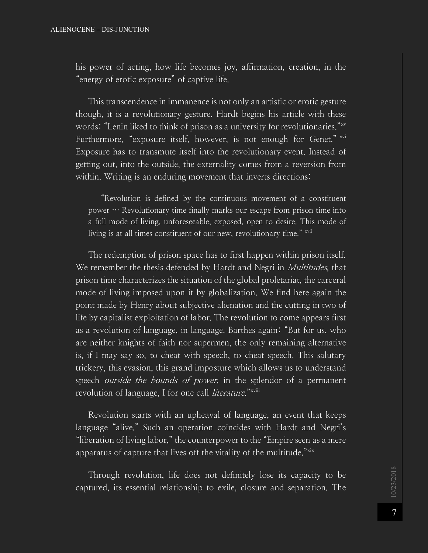his power of acting, how life becomes joy, affirmation, creation, in the "energy of erotic exposure" of captive life.

This transcendence in immanence is not only an artistic or erotic gesture though, it is a revolutionary gesture. Hardt begins his article with these words: "Lenin liked to think of prison as a university for revolutionaries."<sup>xv</sup> Furthermore, "exposure itself, however, is not enough for Genet." xvi Exposure has to transmute itself into the revolutionary event. Instead of getting out, into the outside, the externality comes from a reversion from within. Writing is an enduring movement that inverts directions:

"Revolution is defined by the continuous movement of a constituent power … Revolutionary time finally marks our escape from prison time into a full mode of living, unforeseeable, exposed, open to desire. This mode of living is at all times constituent of our new, revolutionary time." xvii

The redemption of prison space has to first happen within prison itself. We remember the thesis defended by Hardt and Negri in *Multitudes*, that prison time characterizes the situation of the global proletariat, the carceral mode of living imposed upon it by globalization. We find here again the point made by Henry about subjective alienation and the cutting in two of life by capitalist exploitation of labor. The revolution to come appears first as a revolution of language, in language. Barthes again: "But for us, who are neither knights of faith nor supermen, the only remaining alternative is, if I may say so, to cheat with speech, to cheat speech. This salutary trickery, this evasion, this grand imposture which allows us to understand speech *outside the bounds of power*, in the splendor of a permanent revolution of language, I for one call *literature*."<sup>xviii</sup>

Revolution starts with an upheaval of language, an event that keeps language "alive." Such an operation coincides with Hardt and Negri's "liberation of living labor," the counterpower to the "Empire seen as a mere apparatus of capture that lives off the vitality of the multitude." $x$ <sup>xix</sup>

Through revolution, life does not definitely lose its capacity to be captured, its essential relationship to exile, closure and separation. The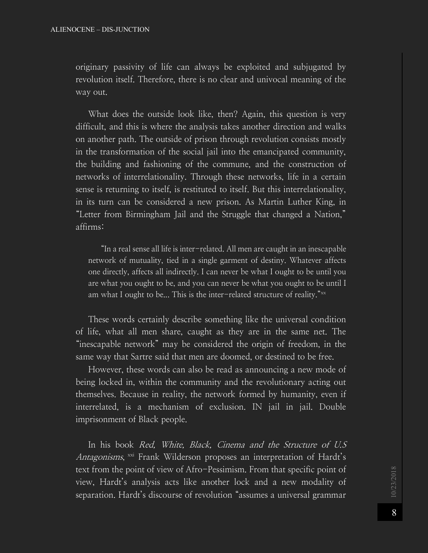originary passivity of life can always be exploited and subjugated by revolution itself. Therefore, there is no clear and univocal meaning of the way out.

What does the outside look like, then? Again, this question is very difficult, and this is where the analysis takes another direction and walks on another path. The outside of prison through revolution consists mostly in the transformation of the social jail into the emancipated community, the building and fashioning of the commune, and the construction of networks of interrelationality. Through these networks, life in a certain sense is returning to itself, is restituted to itself. But this interrelationality, in its turn can be considered a new prison. As Martin Luther King, in "Letter from Birmingham Jail and the Struggle that changed a Nation," affirms:

"In a real sense all life is inter-related. All men are caught in an inescapable network of mutuality, tied in a single garment of destiny. Whatever affects one directly, affects all indirectly. I can never be what I ought to be until you are what you ought to be, and you can never be what you ought to be until I am what I ought to be... This is the inter-related structure of reality." $\frac{1}{1}$ 

These words certainly describe something like the universal condition of life, what all men share, caught as they are in the same net. The "inescapable network" may be considered the origin of freedom, in the same way that Sartre said that men are doomed, or destined to be free.

However, these words can also be read as announcing a new mode of being locked in, within the community and the revolutionary acting out themselves. Because in reality, the network formed by humanity, even if interrelated, is a mechanism of exclusion. IN jail in jail. Double imprisonment of Black people.

In his book Red, White, Black, Cinema and the Structure of U.S Antagonisms,  $\frac{1}{x}$  Frank Wilderson proposes an interpretation of Hardt's text from the point of view of Afro-Pessimism. From that specific point of view, Hardt's analysis acts like another lock and a new modality of separation. Hardt's discourse of revolution "assumes a universal grammar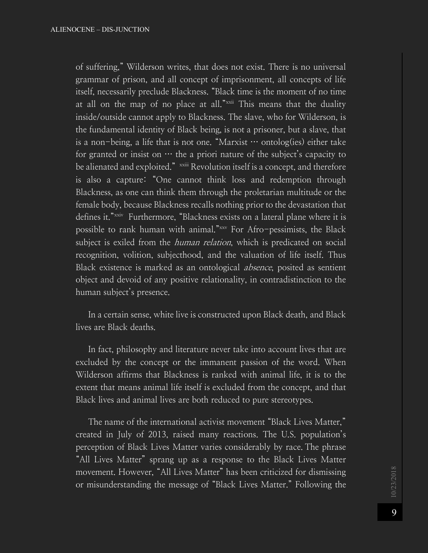of suffering," Wilderson writes, that does not exist. There is no universal grammar of prison, and all concept of imprisonment, all concepts of life itself, necessarily preclude Blackness. "Black time is the moment of no time at all on the map of no place at all."<sup>xxii</sup> This means that the duality inside/outside cannot apply to Blackness. The slave, who for Wilderson, is the fundamental identity of Black being, is not a prisoner, but a slave, that is a non-being, a life that is not one. "Marxist  $\cdots$  ontolog(ies) either take for granted or insist on  $\cdots$  the a priori nature of the subject's capacity to be alienated and exploited." xxiii Revolution itself is a concept, and therefore is also a capture: "One cannot think loss and redemption through Blackness, as one can think them through the proletarian multitude or the female body, because Blackness recalls nothing prior to the devastation that defines it."<sup>xxiv</sup> Furthermore, "Blackness exists on a lateral plane where it is possible to rank human with animal."xxv For Afro-pessimists, the Black subject is exiled from the *human relation*, which is predicated on social recognition, volition, subjecthood, and the valuation of life itself. Thus Black existence is marked as an ontological absence, posited as sentient object and devoid of any positive relationality, in contradistinction to the human subject's presence.

In a certain sense, white live is constructed upon Black death, and Black lives are Black deaths.

In fact, philosophy and literature never take into account lives that are excluded by the concept or the immanent passion of the word. When Wilderson affirms that Blackness is ranked with animal life, it is to the extent that means animal life itself is excluded from the concept, and that Black lives and animal lives are both reduced to pure stereotypes.

The name of the international activist movement "Black Lives Matter," created in July of 2013, raised many reactions. The U.S. population's perception of Black Lives Matter varies considerably by race. The phrase "All Lives Matter" sprang up as a response to the Black Lives Matter movement. However, "All Lives Matter" has been criticized for dismissing or misunderstanding the message of "Black Lives Matter." Following the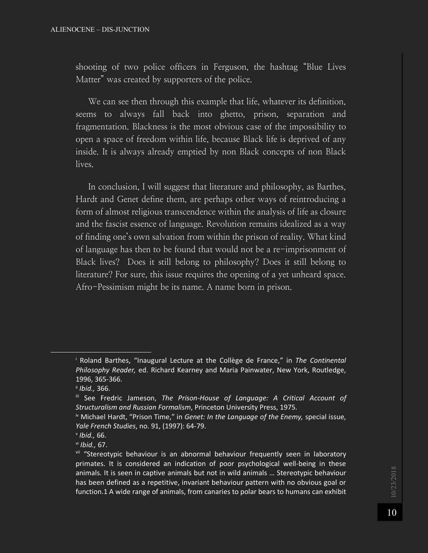shooting of two police officers in Ferguson, the hashtag "Blue Lives Matter" was created by supporters of the police.

We can see then through this example that life, whatever its definition, seems to always fall back into ghetto, prison, separation and fragmentation. Blackness is the most obvious case of the impossibility to open a space of freedom within life, because Black life is deprived of any inside. It is always already emptied by non Black concepts of non Black lives.

In conclusion, I will suggest that literature and philosophy, as Barthes, Hardt and Genet define them, are perhaps other ways of reintroducing a form of almost religious transcendence within the analysis of life as closure and the fascist essence of language. Revolution remains idealized as a way of finding one's own salvation from within the prison of reality. What kind of language has then to be found that would not be a re-imprisonment of Black lives? Does it still belong to philosophy? Does it still belong to literature? For sure, this issue requires the opening of a yet unheard space. Afro-Pessimism might be its name. A name born in prison.

ł

<sup>i</sup> Roland Barthes, "Inaugural Lecture at the Collège de France," in *The Continental Philosophy Reader,* ed. Richard Kearney and Maria Painwater, New York, Routledge, 1996, 365-366.

ii *Ibid.,* 366.

iii See Fredric Jameson, *The Prison-House of Language: A Critical Account of Structuralism and Russian Formalism*, Princeton University Press, 1975.

iv Michael Hardt, "Prison Time," in *Genet: In the Language of the Enemy,* special issue, *Yale French Studies*, no. 91, (1997): 64-79.

<sup>v</sup> *Ibid.,* 66.

vi *Ibid.,* 67.

<sup>&</sup>lt;sup>vii</sup> "Stereotypic behaviour is an abnormal behaviour frequently seen in laboratory primates. It is considered an indication of poor psychological well-being in these animals. It is seen in captive animals but not in wild animals … Stereotypic behaviour has been defined as a repetitive, invariant behaviour pattern with no obvious goal or function.1 A wide range of animals, from canaries to polar bears to humans can exhibit